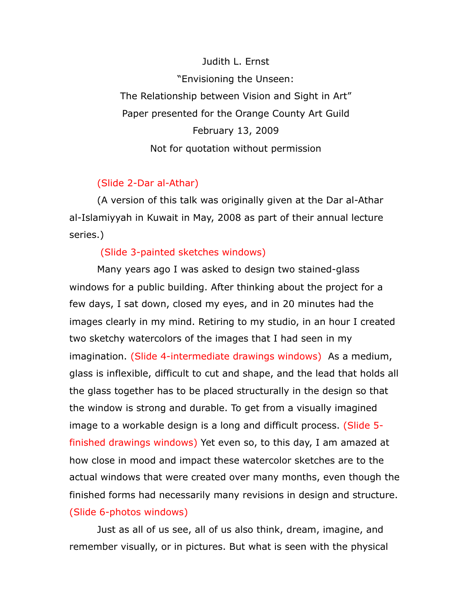### Judith L. Ernst

"Envisioning the Unseen: The Relationship between Vision and Sight in Art" Paper presented for the Orange County Art Guild February 13, 2009 Not for quotation without permission

# (Slide 2-Dar al-Athar)

(A version of this talk was originally given at the Dar al-Athar al-Islamiyyah in Kuwait in May, 2008 as part of their annual lecture series.)

# (Slide 3-painted sketches windows)

Many years ago I was asked to design two stained-glass windows for a public building. After thinking about the project for a few days, I sat down, closed my eyes, and in 20 minutes had the images clearly in my mind. Retiring to my studio, in an hour I created two sketchy watercolors of the images that I had seen in my imagination. (Slide 4-intermediate drawings windows) As a medium, glass is inflexible, difficult to cut and shape, and the lead that holds all the glass together has to be placed structurally in the design so that the window is strong and durable. To get from a visually imagined image to a workable design is a long and difficult process. (Slide 5 finished drawings windows) Yet even so, to this day, I am amazed at how close in mood and impact these watercolor sketches are to the actual windows that were created over many months, even though the finished forms had necessarily many revisions in design and structure. (Slide 6-photos windows)

Just as all of us see, all of us also think, dream, imagine, and remember visually, or in pictures. But what is seen with the physical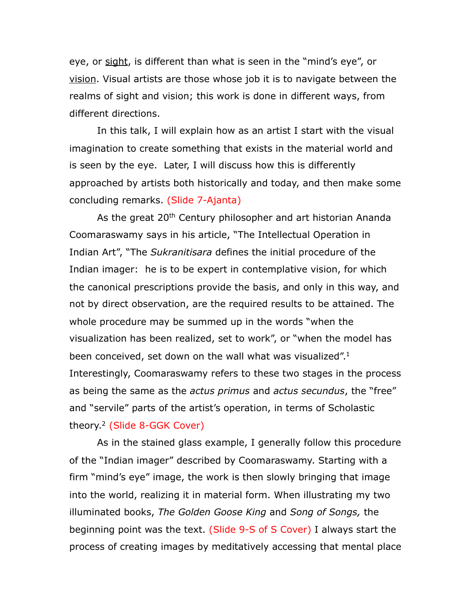eye, or sight, is different than what is seen in the "mind's eye", or vision. Visual artists are those whose job it is to navigate between the realms of sight and vision; this work is done in different ways, from different directions.

In this talk, I will explain how as an artist I start with the visual imagination to create something that exists in the material world and is seen by the eye. Later, I will discuss how this is differently approached by artists both historically and today, and then make some concluding remarks. (Slide 7-Ajanta)

As the great 20<sup>th</sup> Century philosopher and art historian Ananda Coomaraswamy says in his article, "The Intellectual Operation in Indian Art", "The *Sukranitisara* defines the initial procedure of the Indian imager: he is to be expert in contemplative vision, for which the canonical prescriptions provide the basis, and only in this way, and not by direct observation, are the required results to be attained. The whole procedure may be summed up in the words "when the visualization has been realized, set to work", or "when the model has been conceived, set down on the wall what was visualized".<sup>1</sup> Interestingly, Coomaraswamy refers to these two stages in the process as being the same as the *actus primus* and *actus secundus*, the "free" and "servile" parts of the artist's operation, in terms of Scholastic theory[.2](#page-14-1) (Slide 8-GGK Cover)

As in the stained glass example, I generally follow this procedure of the "Indian imager" described by Coomaraswamy. Starting with a firm "mind's eye" image, the work is then slowly bringing that image into the world, realizing it in material form. When illustrating my two illuminated books, *The Golden Goose King* and *Song of Songs,* the beginning point was the text. (Slide 9-S of S Cover) I always start the process of creating images by meditatively accessing that mental place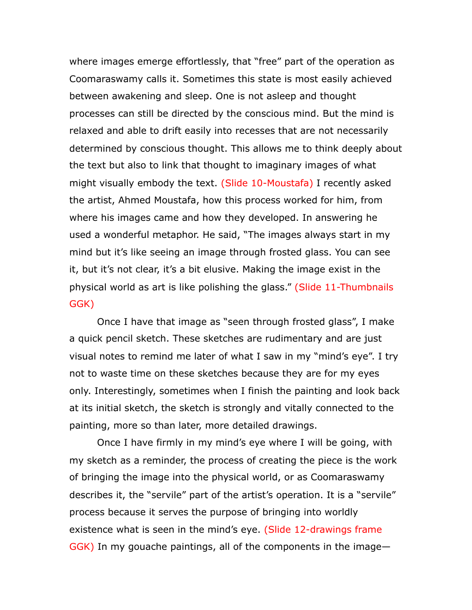where images emerge effortlessly, that "free" part of the operation as Coomaraswamy calls it. Sometimes this state is most easily achieved between awakening and sleep. One is not asleep and thought processes can still be directed by the conscious mind. But the mind is relaxed and able to drift easily into recesses that are not necessarily determined by conscious thought. This allows me to think deeply about the text but also to link that thought to imaginary images of what might visually embody the text. (Slide 10-Moustafa) I recently asked the artist, Ahmed Moustafa, how this process worked for him, from where his images came and how they developed. In answering he used a wonderful metaphor. He said, "The images always start in my mind but it's like seeing an image through frosted glass. You can see it, but it's not clear, it's a bit elusive. Making the image exist in the physical world as art is like polishing the glass." (Slide 11-Thumbnails GGK)

Once I have that image as "seen through frosted glass", I make a quick pencil sketch. These sketches are rudimentary and are just visual notes to remind me later of what I saw in my "mind's eye". I try not to waste time on these sketches because they are for my eyes only. Interestingly, sometimes when I finish the painting and look back at its initial sketch, the sketch is strongly and vitally connected to the painting, more so than later, more detailed drawings.

Once I have firmly in my mind's eye where I will be going, with my sketch as a reminder, the process of creating the piece is the work of bringing the image into the physical world, or as Coomaraswamy describes it, the "servile" part of the artist's operation. It is a "servile" process because it serves the purpose of bringing into worldly existence what is seen in the mind's eye. (Slide 12-drawings frame GGK) In my gouache paintings, all of the components in the image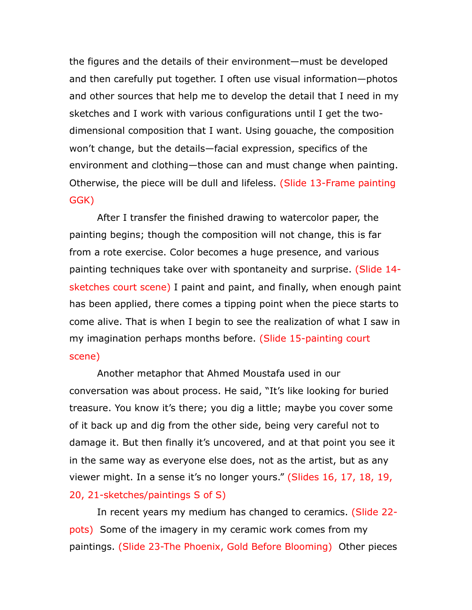the figures and the details of their environment—must be developed and then carefully put together. I often use visual information—photos and other sources that help me to develop the detail that I need in my sketches and I work with various configurations until I get the twodimensional composition that I want. Using gouache, the composition won't change, but the details—facial expression, specifics of the environment and clothing—those can and must change when painting. Otherwise, the piece will be dull and lifeless. (Slide 13-Frame painting GGK)

After I transfer the finished drawing to watercolor paper, the painting begins; though the composition will not change, this is far from a rote exercise. Color becomes a huge presence, and various painting techniques take over with spontaneity and surprise. (Slide 14 sketches court scene) I paint and paint, and finally, when enough paint has been applied, there comes a tipping point when the piece starts to come alive. That is when I begin to see the realization of what I saw in my imagination perhaps months before. (Slide 15-painting court scene)

Another metaphor that Ahmed Moustafa used in our conversation was about process. He said, "It's like looking for buried treasure. You know it's there; you dig a little; maybe you cover some of it back up and dig from the other side, being very careful not to damage it. But then finally it's uncovered, and at that point you see it in the same way as everyone else does, not as the artist, but as any viewer might. In a sense it's no longer yours." (Slides 16, 17, 18, 19,

### 20, 21-sketches/paintings S of S)

In recent years my medium has changed to ceramics. (Slide 22 pots) Some of the imagery in my ceramic work comes from my paintings. (Slide 23-The Phoenix, Gold Before Blooming) Other pieces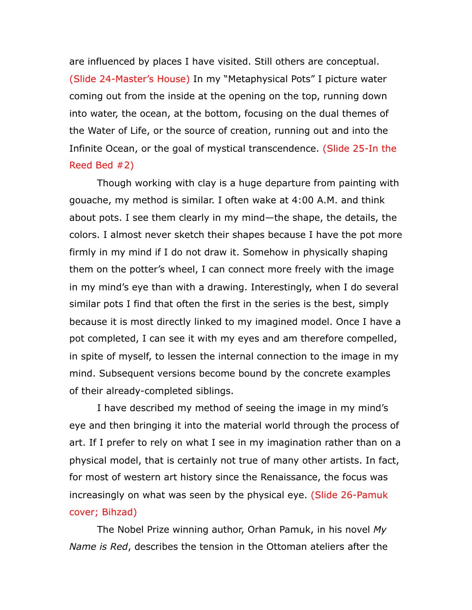are influenced by places I have visited. Still others are conceptual. (Slide 24-Master's House) In my "Metaphysical Pots" I picture water coming out from the inside at the opening on the top, running down into water, the ocean, at the bottom, focusing on the dual themes of the Water of Life, or the source of creation, running out and into the Infinite Ocean, or the goal of mystical transcendence. (Slide 25-In the Reed Bed #2)

Though working with clay is a huge departure from painting with gouache, my method is similar. I often wake at 4:00 A.M. and think about pots. I see them clearly in my mind—the shape, the details, the colors. I almost never sketch their shapes because I have the pot more firmly in my mind if I do not draw it. Somehow in physically shaping them on the potter's wheel, I can connect more freely with the image in my mind's eye than with a drawing. Interestingly, when I do several similar pots I find that often the first in the series is the best, simply because it is most directly linked to my imagined model. Once I have a pot completed, I can see it with my eyes and am therefore compelled, in spite of myself, to lessen the internal connection to the image in my mind. Subsequent versions become bound by the concrete examples of their already-completed siblings.

I have described my method of seeing the image in my mind's eye and then bringing it into the material world through the process of art. If I prefer to rely on what I see in my imagination rather than on a physical model, that is certainly not true of many other artists. In fact, for most of western art history since the Renaissance, the focus was increasingly on what was seen by the physical eye. (Slide 26-Pamuk cover; Bihzad)

The Nobel Prize winning author, Orhan Pamuk, in his novel *My Name is Red*, describes the tension in the Ottoman ateliers after the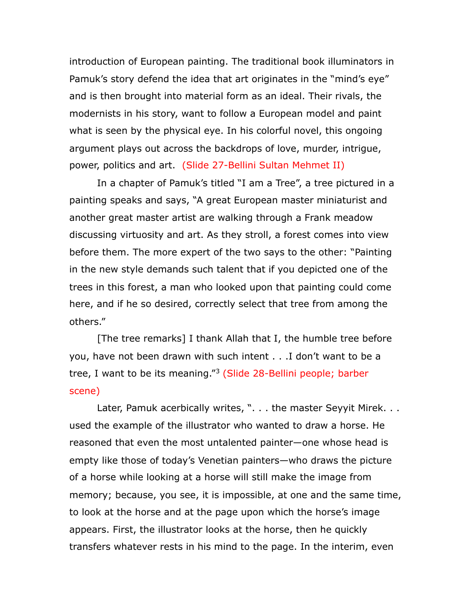introduction of European painting. The traditional book illuminators in Pamuk's story defend the idea that art originates in the "mind's eye" and is then brought into material form as an ideal. Their rivals, the modernists in his story, want to follow a European model and paint what is seen by the physical eye. In his colorful novel, this ongoing argument plays out across the backdrops of love, murder, intrigue, power, politics and art. (Slide 27-Bellini Sultan Mehmet II)

In a chapter of Pamuk's titled "I am a Tree", a tree pictured in a painting speaks and says, "A great European master miniaturist and another great master artist are walking through a Frank meadow discussing virtuosity and art. As they stroll, a forest comes into view before them. The more expert of the two says to the other: "Painting in the new style demands such talent that if you depicted one of the trees in this forest, a man who looked upon that painting could come here, and if he so desired, correctly select that tree from among the others."

[The tree remarks] I thank Allah that I, the humble tree before you, have not been drawn with such intent . . .I don't want to be a tree, I want to be its meaning."<sup>[3](#page-14-2)</sup> (Slide 28-Bellini people; barber scene)

Later, Pamuk acerbically writes, ". . . the master Seyyit Mirek. . . used the example of the illustrator who wanted to draw a horse. He reasoned that even the most untalented painter—one whose head is empty like those of today's Venetian painters—who draws the picture of a horse while looking at a horse will still make the image from memory; because, you see, it is impossible, at one and the same time, to look at the horse and at the page upon which the horse's image appears. First, the illustrator looks at the horse, then he quickly transfers whatever rests in his mind to the page. In the interim, even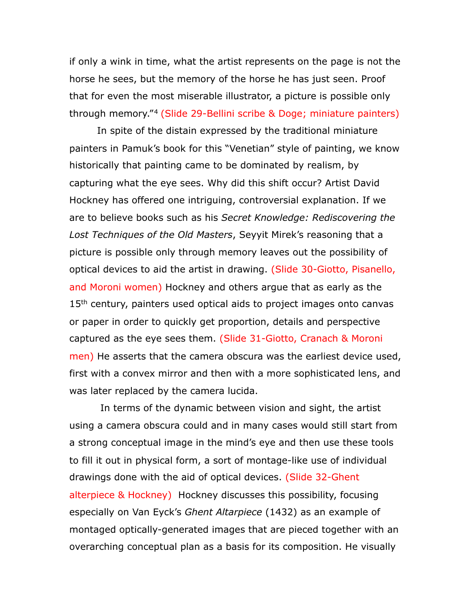if only a wink in time, what the artist represents on the page is not the horse he sees, but the memory of the horse he has just seen. Proof that for even the most miserable illustrator, a picture is possible only through memory."[4](#page-14-3) (Slide 29-Bellini scribe & Doge; miniature painters)

In spite of the distain expressed by the traditional miniature painters in Pamuk's book for this "Venetian" style of painting, we know historically that painting came to be dominated by realism, by capturing what the eye sees. Why did this shift occur? Artist David Hockney has offered one intriguing, controversial explanation. If we are to believe books such as his *Secret Knowledge: Rediscovering the Lost Techniques of the Old Masters*, Seyyit Mirek's reasoning that a picture is possible only through memory leaves out the possibility of optical devices to aid the artist in drawing. (Slide 30-Giotto, Pisanello, and Moroni women) Hockney and others argue that as early as the 15<sup>th</sup> century, painters used optical aids to project images onto canvas or paper in order to quickly get proportion, details and perspective captured as the eye sees them. (Slide 31-Giotto, Cranach & Moroni men) He asserts that the camera obscura was the earliest device used, first with a convex mirror and then with a more sophisticated lens, and was later replaced by the camera lucida.

 In terms of the dynamic between vision and sight, the artist using a camera obscura could and in many cases would still start from a strong conceptual image in the mind's eye and then use these tools to fill it out in physical form, a sort of montage-like use of individual drawings done with the aid of optical devices. (Slide 32-Ghent alterpiece & Hockney) Hockney discusses this possibility, focusing especially on Van Eyck's *Ghent Altarpiece* (1432) as an example of montaged optically-generated images that are pieced together with an overarching conceptual plan as a basis for its composition. He visually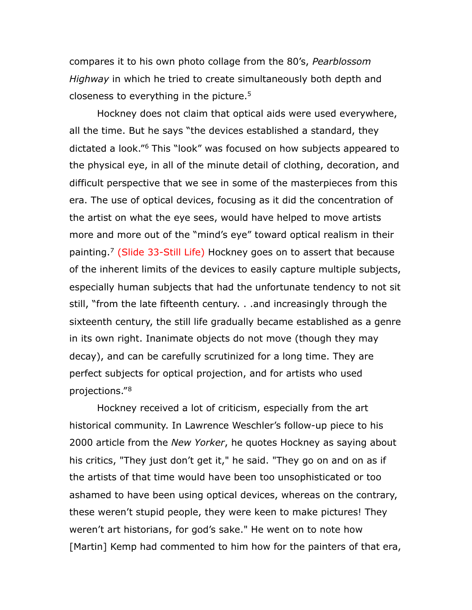compares it to his own photo collage from the 80's, *Pearblossom Highway* in which he tried to create simultaneously both depth and closeness to everything in the picture[.5](#page-14-4)

Hockney does not claim that optical aids were used everywhere, all the time. But he says "the devices established a standard, they dictated a look."[6](#page-14-5) This "look" was focused on how subjects appeared to the physical eye, in all of the minute detail of clothing, decoration, and difficult perspective that we see in some of the masterpieces from this era. The use of optical devices, focusing as it did the concentration of the artist on what the eye sees, would have helped to move artists more and more out of the "mind's eye" toward optical realism in their painting.<sup>7</sup> (Slide 33-Still Life) Hockney goes on to assert that because of the inherent limits of the devices to easily capture multiple subjects, especially human subjects that had the unfortunate tendency to not sit still, "from the late fifteenth century. . .and increasingly through the sixteenth century, the still life gradually became established as a genre in its own right. Inanimate objects do not move (though they may decay), and can be carefully scrutinized for a long time. They are perfect subjects for optical projection, and for artists who used projections."[8](#page-14-7)

Hockney received a lot of criticism, especially from the art historical community. In Lawrence Weschler's follow-up piece to his 2000 article from the *New Yorker*, he quotes Hockney as saying about his critics, "They just don't get it," he said. "They go on and on as if the artists of that time would have been too unsophisticated or too ashamed to have been using optical devices, whereas on the contrary, these weren't stupid people, they were keen to make pictures! They weren't art historians, for god's sake." He went on to note how [Martin] Kemp had commented to him how for the painters of that era,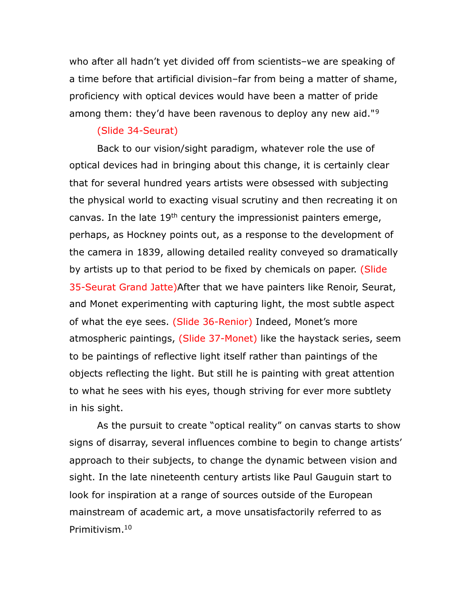who after all hadn't yet divided off from scientists–we are speaking of a time before that artificial division–far from being a matter of shame, proficiency with optical devices would have been a matter of pride among them: they'd have been ravenous to deploy any new aid."<sup>[9](#page-14-8)</sup>

#### (Slide 34-Seurat)

Back to our vision/sight paradigm, whatever role the use of optical devices had in bringing about this change, it is certainly clear that for several hundred years artists were obsessed with subjecting the physical world to exacting visual scrutiny and then recreating it on canvas. In the late 19<sup>th</sup> century the impressionist painters emerge, perhaps, as Hockney points out, as a response to the development of the camera in 1839, allowing detailed reality conveyed so dramatically by artists up to that period to be fixed by chemicals on paper. (Slide 35-Seurat Grand Jatte) After that we have painters like Renoir, Seurat, and Monet experimenting with capturing light, the most subtle aspect of what the eye sees. (Slide 36-Renior) Indeed, Monet's more atmospheric paintings, (Slide 37-Monet) like the haystack series, seem to be paintings of reflective light itself rather than paintings of the objects reflecting the light. But still he is painting with great attention to what he sees with his eyes, though striving for ever more subtlety in his sight.

As the pursuit to create "optical reality" on canvas starts to show signs of disarray, several influences combine to begin to change artists' approach to their subjects, to change the dynamic between vision and sight. In the late nineteenth century artists like Paul Gauguin start to look for inspiration at a range of sources outside of the European mainstream of academic art, a move unsatisfactorily referred to as Primitivism[.10](#page-14-9)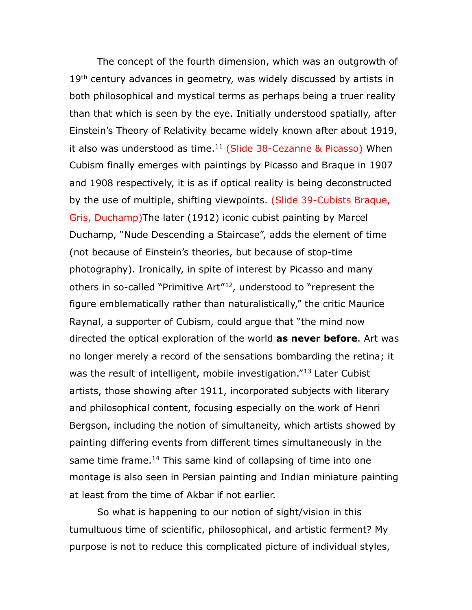The concept of the fourth dimension, which was an outgrowth of 19<sup>th</sup> century advances in geometry, was widely discussed by artists in both philosophical and mystical terms as perhaps being a truer reality than that which is seen by the eye. Initially understood spatially, after Einstein's Theory of Relativity became widely known after about 1919, it also was understood as time. $11$  (Slide 38-Cezanne & Picasso) When Cubism finally emerges with paintings by Picasso and Braque in 1907 and 1908 respectively, it is as if optical reality is being deconstructed by the use of multiple, shifting viewpoints. (Slide 39-Cubists Braque, Gris, Duchamp)The later (1912) iconic cubist painting by Marcel Duchamp, "Nude Descending a Staircase", adds the element of time (not because of Einstein's theories, but because of stop-time photography). Ironically, in spite of interest by Picasso and many others in so-called "Primitive Art"[12,](#page-14-11) understood to "represent the figure emblematically rather than naturalistically," the critic Maurice Raynal, a supporter of Cubism, could argue that "the mind now directed the optical exploration of the world **as never before**. Art was no longer merely a record of the sensations bombarding the retina; it was the result of intelligent, mobile investigation."<sup>[13](#page-14-12)</sup> Later Cubist artists, those showing after 1911, incorporated subjects with literary and philosophical content, focusing especially on the work of Henri Bergson, including the notion of simultaneity, which artists showed by painting differing events from different times simultaneously in the same time frame.<sup>14</sup> This same kind of collapsing of time into one montage is also seen in Persian painting and Indian miniature painting at least from the time of Akbar if not earlier.

So what is happening to our notion of sight/vision in this tumultuous time of scientific, philosophical, and artistic ferment? My purpose is not to reduce this complicated picture of individual styles,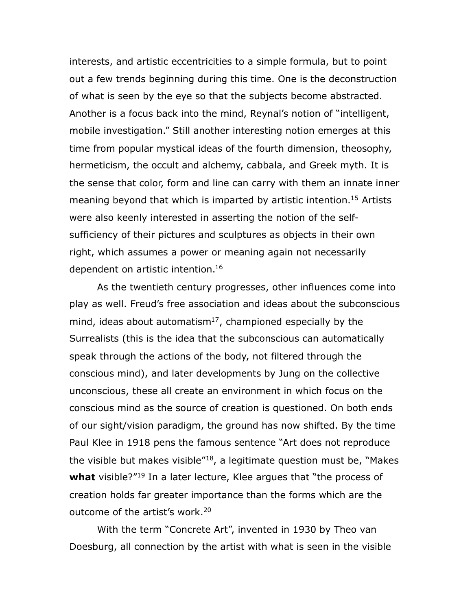interests, and artistic eccentricities to a simple formula, but to point out a few trends beginning during this time. One is the deconstruction of what is seen by the eye so that the subjects become abstracted. Another is a focus back into the mind, Reynal's notion of "intelligent, mobile investigation." Still another interesting notion emerges at this time from popular mystical ideas of the fourth dimension, theosophy, hermeticism, the occult and alchemy, cabbala, and Greek myth. It is the sense that color, form and line can carry with them an innate inner meaning beyond that which is imparted by artistic intention.<sup>15</sup> Artists were also keenly interested in asserting the notion of the selfsufficiency of their pictures and sculptures as objects in their own right, which assumes a power or meaning again not necessarily dependent on artistic intention[.16](#page-15-1)

As the twentieth century progresses, other influences come into play as well. Freud's free association and ideas about the subconscious mind, ideas about automatism $17$ , championed especially by the Surrealists (this is the idea that the subconscious can automatically speak through the actions of the body, not filtered through the conscious mind), and later developments by Jung on the collective unconscious, these all create an environment in which focus on the conscious mind as the source of creation is questioned. On both ends of our sight/vision paradigm, the ground has now shifted. By the time Paul Klee in 1918 pens the famous sentence "Art does not reproduce the visible but makes visible"[18,](#page-15-3) a legitimate question must be, "Makes **what** visible?"<sup>[19](#page-16-0)</sup> In a later lecture, Klee argues that "the process of creation holds far greater importance than the forms which are the outcome of the artist's work.<sup>20</sup>

With the term "Concrete Art", invented in 1930 by Theo van Doesburg, all connection by the artist with what is seen in the visible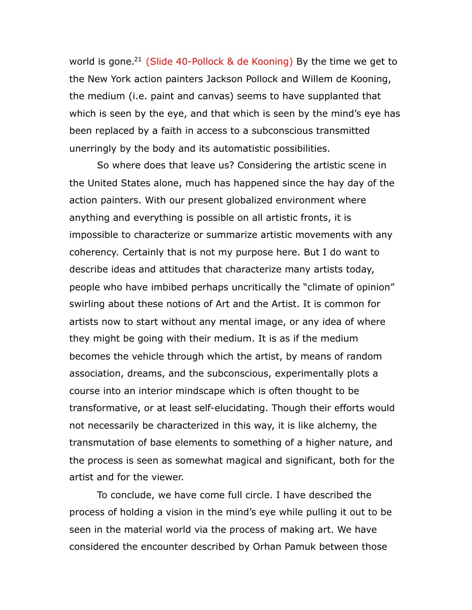world is gone.<sup>21</sup> (Slide 40-Pollock  $\&$  de Kooning) By the time we get to the New York action painters Jackson Pollock and Willem de Kooning, the medium (i.e. paint and canvas) seems to have supplanted that which is seen by the eye, and that which is seen by the mind's eye has been replaced by a faith in access to a subconscious transmitted unerringly by the body and its automatistic possibilities.

So where does that leave us? Considering the artistic scene in the United States alone, much has happened since the hay day of the action painters. With our present globalized environment where anything and everything is possible on all artistic fronts, it is impossible to characterize or summarize artistic movements with any coherency. Certainly that is not my purpose here. But I do want to describe ideas and attitudes that characterize many artists today, people who have imbibed perhaps uncritically the "climate of opinion" swirling about these notions of Art and the Artist. It is common for artists now to start without any mental image, or any idea of where they might be going with their medium. It is as if the medium becomes the vehicle through which the artist, by means of random association, dreams, and the subconscious, experimentally plots a course into an interior mindscape which is often thought to be transformative, or at least self-elucidating. Though their efforts would not necessarily be characterized in this way, it is like alchemy, the transmutation of base elements to something of a higher nature, and the process is seen as somewhat magical and significant, both for the artist and for the viewer.

To conclude, we have come full circle. I have described the process of holding a vision in the mind's eye while pulling it out to be seen in the material world via the process of making art. We have considered the encounter described by Orhan Pamuk between those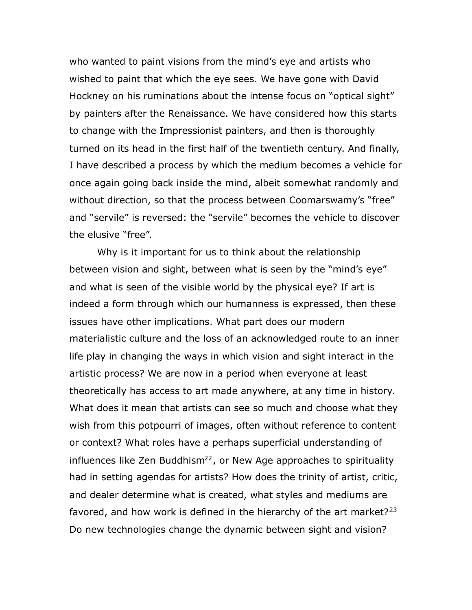who wanted to paint visions from the mind's eye and artists who wished to paint that which the eye sees. We have gone with David Hockney on his ruminations about the intense focus on "optical sight" by painters after the Renaissance. We have considered how this starts to change with the Impressionist painters, and then is thoroughly turned on its head in the first half of the twentieth century. And finally, I have described a process by which the medium becomes a vehicle for once again going back inside the mind, albeit somewhat randomly and without direction, so that the process between Coomarswamy's "free" and "servile" is reversed: the "servile" becomes the vehicle to discover the elusive "free".

Why is it important for us to think about the relationship between vision and sight, between what is seen by the "mind's eye" and what is seen of the visible world by the physical eye? If art is indeed a form through which our humanness is expressed, then these issues have other implications. What part does our modern materialistic culture and the loss of an acknowledged route to an inner life play in changing the ways in which vision and sight interact in the artistic process? We are now in a period when everyone at least theoretically has access to art made anywhere, at any time in history. What does it mean that artists can see so much and choose what they wish from this potpourri of images, often without reference to content or context? What roles have a perhaps superficial understanding of influences like Zen Buddhism<sup>22</sup>, or New Age approaches to spirituality had in setting agendas for artists? How does the trinity of artist, critic, and dealer determine what is created, what styles and mediums are favored, and how work is defined in the hierarchy of the art market?  $23$ Do new technologies change the dynamic between sight and vision?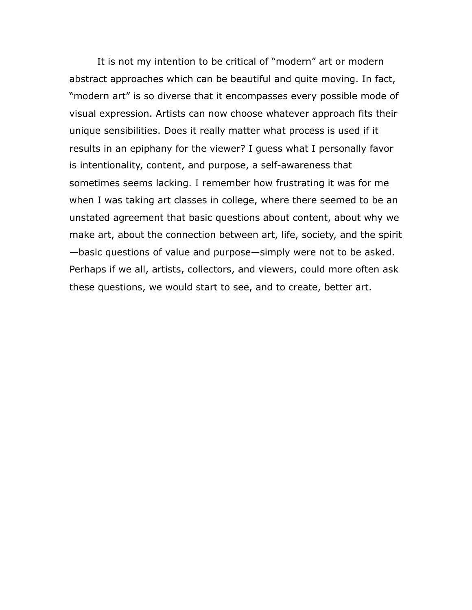It is not my intention to be critical of "modern" art or modern abstract approaches which can be beautiful and quite moving. In fact, "modern art" is so diverse that it encompasses every possible mode of visual expression. Artists can now choose whatever approach fits their unique sensibilities. Does it really matter what process is used if it results in an epiphany for the viewer? I guess what I personally favor is intentionality, content, and purpose, a self-awareness that sometimes seems lacking. I remember how frustrating it was for me when I was taking art classes in college, where there seemed to be an unstated agreement that basic questions about content, about why we make art, about the connection between art, life, society, and the spirit —basic questions of value and purpose—simply were not to be asked. Perhaps if we all, artists, collectors, and viewers, could more often ask these questions, we would start to see, and to create, better art.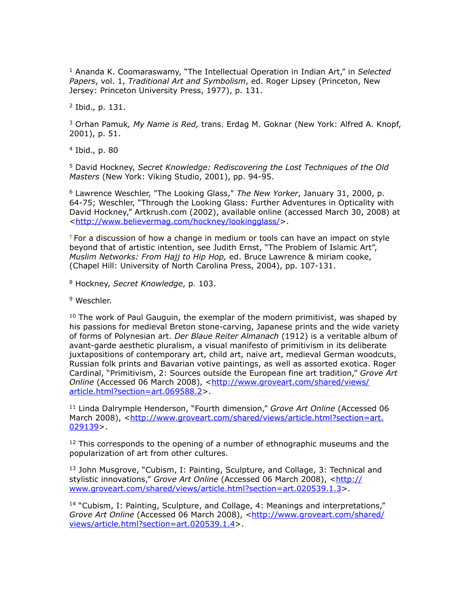<span id="page-14-0"></span>1 Ananda K. Coomaraswamy, "The Intellectual Operation in Indian Art," in *Selected Papers*, vol. 1, *Traditional Art and Symbolism*, ed. Roger Lipsey (Princeton, New Jersey: Princeton University Press, 1977), p. 131.

<span id="page-14-1"></span>2 Ibid., p. 131.

<span id="page-14-2"></span>3 Orhan Pamuk*, My Name is Red,* trans. Erdag M. Goknar (New York: Alfred A. Knopf, 2001), p. 51.

<span id="page-14-3"></span>4 Ibid., p. 80

<span id="page-14-4"></span>5 David Hockney, *Secret Knowledge: Rediscovering the Lost Techniques of the Old Masters* (New York: Viking Studio, 2001), pp. 94-95.

<span id="page-14-5"></span>6 Lawrence Weschler, "The Looking Glass," *The New Yorker*, January 31, 2000, p. 64-75; Weschler, "Through the Looking Glass: Further Adventures in Opticality with David Hockney," Artkrush.com (2002), available online (accessed March 30, 2008) at [<http://www.believermag.com/hockney/lookingglass/](http://www.believermag.com/hockney/lookingglass/)>.

<span id="page-14-6"></span> $7$  For a discussion of how a change in medium or tools can have an impact on style beyond that of artistic intention, see Judith Ernst, "The Problem of Islamic Art", *Muslim Networks: From Hajj to Hip Hop,* ed. Bruce Lawrence & miriam cooke, (Chapel Hill: University of North Carolina Press, 2004), pp. 107-131.

<span id="page-14-7"></span>8 Hockney, *Secret Knowledge*, p. 103.

<span id="page-14-8"></span><sup>9</sup> Weschler.

<span id="page-14-9"></span> $10$  The work of Paul Gauguin, the exemplar of the modern primitivist, was shaped by his passions for medieval Breton stone-carving, Japanese prints and the wide variety of forms of Polynesian art. *Der Blaue Reiter Almanach* (1912) is a veritable album of avant-garde aesthetic pluralism, a visual manifesto of primitivism in its deliberate juxtapositions of contemporary art, child art, naive art, medieval German woodcuts, Russian folk prints and Bavarian votive paintings, as well as assorted exotica. Roger Cardinal, "Primitivism, 2: Sources outside the European fine art tradition," *Grove Art Online* (Accessed 06 March 2008), <[http://www.groveart.com/shared/views/](http://www.groveart.com/shared/views/article.html?section=art.069588.2) [article.html?section=art.069588.2](http://www.groveart.com/shared/views/article.html?section=art.069588.2)>.

<span id="page-14-10"></span>11 Linda Dalrymple Henderson, "Fourth dimension," *Grove Art Online* (Accessed 06 March 2008), [<http://www.groveart.com/shared/views/article.html?section=art.](http://www.groveart.com/shared/views/article.html?section=art.029139) [029139](http://www.groveart.com/shared/views/article.html?section=art.029139)>.

<span id="page-14-11"></span> $12$  This corresponds to the opening of a number of ethnographic museums and the popularization of art from other cultures.

<span id="page-14-12"></span><sup>13</sup> John Musgrove, "Cubism, I: Painting, Sculpture, and Collage, 3: Technical and stylistic innovations," Grove Art Online (Accessed 06 March 2008), <[http://](http://www.groveart.com/shared/views/article.html?section=art.020539.1.3) [www.groveart.com/shared/views/article.html?section=art.020539.1.3>](http://www.groveart.com/shared/views/article.html?section=art.020539.1.3).

<span id="page-14-13"></span> $14$  "Cubism, I: Painting, Sculpture, and Collage, 4: Meanings and interpretations," *Grove Art Online* (Accessed 06 March 2008), <[http://www.groveart.com/shared/](http://www.groveart.com/shared/views/article.html?section=art.020539.1.4) [views/article.html?section=art.020539.1.4>](http://www.groveart.com/shared/views/article.html?section=art.020539.1.4).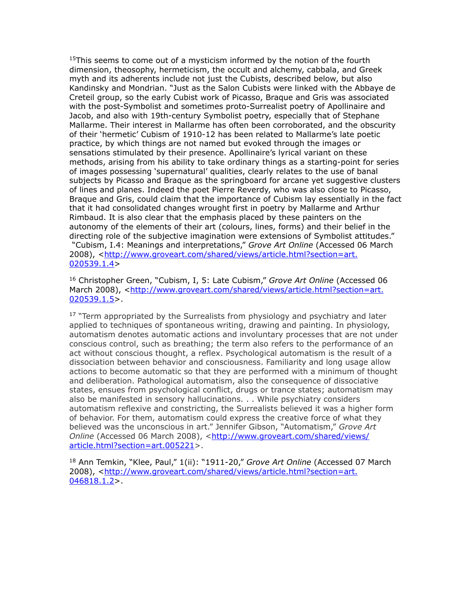<span id="page-15-0"></span> $15$ This seems to come out of a mysticism informed by the notion of the fourth dimension, theosophy, hermeticism, the occult and alchemy, cabbala, and Greek myth and its adherents include not just the Cubists, described below, but also Kandinsky and Mondrian. "Just as the Salon Cubists were linked with the Abbaye de Creteil group, so the early Cubist work of Picasso, Braque and Gris was associated with the post-Symbolist and sometimes proto-Surrealist poetry of Apollinaire and Jacob, and also with 19th-century Symbolist poetry, especially that of Stephane Mallarme. Their interest in Mallarme has often been corroborated, and the obscurity of their 'hermetic' Cubism of 1910-12 has been related to Mallarme's late poetic practice, by which things are not named but evoked through the images or sensations stimulated by their presence. Apollinaire's lyrical variant on these methods, arising from his ability to take ordinary things as a starting-point for series of images possessing 'supernatural' qualities, clearly relates to the use of banal subjects by Picasso and Braque as the springboard for arcane yet suggestive clusters of lines and planes. Indeed the poet Pierre Reverdy, who was also close to Picasso, Braque and Gris, could claim that the importance of Cubism lay essentially in the fact that it had consolidated changes wrought first in poetry by Mallarme and Arthur Rimbaud. It is also clear that the emphasis placed by these painters on the autonomy of the elements of their art (colours, lines, forms) and their belief in the directing role of the subjective imagination were extensions of Symbolist attitudes." "Cubism, I.4: Meanings and interpretations," *Grove Art Online* (Accessed 06 March 2008), [<http://www.groveart.com/shared/views/article.html?section=art.](http://www.groveart.com/shared/views/article.html?section=art.020539.1.4)  $020539.1.4>$  $020539.1.4>$ 

<span id="page-15-1"></span>16 Christopher Green, "Cubism, I, 5: Late Cubism," *Grove Art Online* (Accessed 06 March 2008), [<http://www.groveart.com/shared/views/article.html?section=art.](http://www.groveart.com/shared/views/article.html?section=art.020539.1.5) [020539.1.5](http://www.groveart.com/shared/views/article.html?section=art.020539.1.5)>.

<span id="page-15-2"></span> $17$  "Term appropriated by the Surrealists from physiology and psychiatry and later applied to techniques of spontaneous writing, drawing and painting. In physiology, automatism denotes automatic actions and involuntary processes that are not under conscious control, such as breathing; the term also refers to the performance of an act without conscious thought, a reflex. Psychological automatism is the result of a dissociation between behavior and consciousness. Familiarity and long usage allow actions to become automatic so that they are performed with a minimum of thought and deliberation. Pathological automatism, also the consequence of dissociative states, ensues from psychological conflict, drugs or trance states; automatism may also be manifested in sensory hallucinations. . . While psychiatry considers automatism reflexive and constricting, the Surrealists believed it was a higher form of behavior. For them, automatism could express the creative force of what they believed was the unconscious in art." Jennifer Gibson, "Automatism," *Grove Art*  **Online** (Accessed 06 March 2008), <[http://www.groveart.com/shared/views/](http://www.groveart.com/shared/views/article.html?section=art.005221) [article.html?section=art.005221](http://www.groveart.com/shared/views/article.html?section=art.005221)>.

<span id="page-15-3"></span>18 Ann Temkin, "Klee, Paul," 1(ii): "1911-20," *Grove Art Online* (Accessed 07 March 2008), [<http://www.groveart.com/shared/views/article.html?section=art.](http://www.groveart.com/shared/views/article.html?section=art.046818.1.2) [046818.1.2](http://www.groveart.com/shared/views/article.html?section=art.046818.1.2)>.